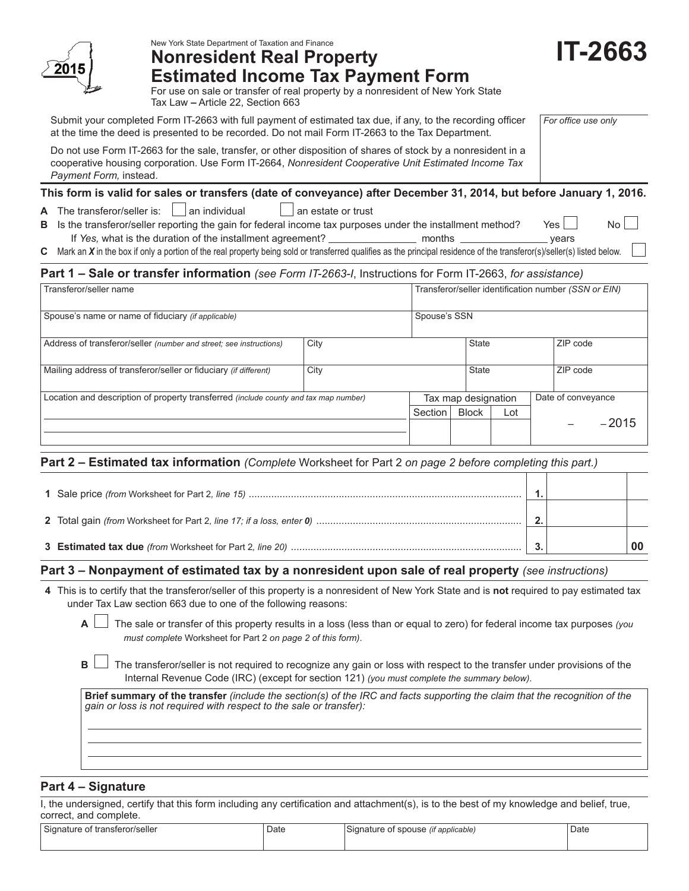

# New York State Department of Taxation and Finance **Nonresident Real Property Estimated Income Tax Payment Form**

**IT-2663**

*For office use only*

For use on sale or transfer of real property by a nonresident of New York State Tax Law **–** Article 22, Section 663

Submit your completed Form IT-2663 with full payment of estimated tax due, if any, to the recording officer at the time the deed is presented to be recorded. Do not mail Form IT-2663 to the Tax Department.

Do not use Form IT-2663 for the sale, transfer, or other disposition of shares of stock by a nonresident in a cooperative housing corporation. Use Form IT-2664, *Nonresident Cooperative Unit Estimated Income Tax Payment Form,* instead.

## **This form is valid for sales or transfers (date of conveyance) after December 31, 2014, but before January 1, 2016.**

**A** The transferor/seller is:  $\Box$  an individual  $\Box$  an estate or trust

**B** Is the transferor/seller reporting the gain for federal income tax purposes under the installment method? Yes If *Yes,* what is the duration of the installment agreement? months years

**C** Mark an *X* in the box if only a portion of the real property being sold or transferred qualifies as the principal residence of the transferor(s)/seller(s) listed below.

# **Part 1 – Sale or transfer information** *(see Form IT-2663-I*, Instructions for Form IT-2663, *for assistance)*

| Transferor/seller name                                                               |      | Transferor/seller identification number (SSN or EIN) |                     |     |                    |  |  |  |
|--------------------------------------------------------------------------------------|------|------------------------------------------------------|---------------------|-----|--------------------|--|--|--|
| Spouse's name or name of fiduciary (if applicable)                                   |      |                                                      | Spouse's SSN        |     |                    |  |  |  |
| Address of transferor/seller (number and street; see instructions)                   | City |                                                      | <b>State</b>        |     | ZIP code           |  |  |  |
| Mailing address of transferor/seller or fiduciary (if different)                     | City |                                                      | State               |     | ZIP code           |  |  |  |
| Location and description of property transferred (include county and tax map number) |      |                                                      | Tax map designation |     | Date of conveyance |  |  |  |
|                                                                                      |      | Section                                              | <b>Block</b>        | Lot |                    |  |  |  |
|                                                                                      |      |                                                      |                     |     | $-2015$            |  |  |  |

# **Part 2 – Estimated tax information** *(Complete* Worksheet for Part 2 *on page 2 before completing this part.)*

| ◠ |  |
|---|--|
| ≏ |  |

# **Part 3 – Nonpayment of estimated tax by a nonresident upon sale of real property** *(see instructions)*

- **4** This is to certify that the transferor/seller of this property is a nonresident of New York State and is **not** required to pay estimated tax under Tax Law section 663 due to one of the following reasons:
	- **A** The sale or transfer of this property results in a loss (less than or equal to zero) for federal income tax purposes *(you must complete* Worksheet for Part 2 *on page 2 of this form)*.
	- **B**  $\Box$  The transferor/seller is not required to recognize any gain or loss with respect to the transfer under provisions of the Internal Revenue Code (IRC) (except for section 121) *(you must complete the summary below)*.

**Brief summary of the transfer** *(include the section(s) of the IRC and facts supporting the claim that the recognition of the gain or loss is not required with respect to the sale or transfer):*

# **Part 4 – Signature**

I, the undersigned, certify that this form including any certification and attachment(s), is to the best of my knowledge and belief, true, correct, and complete.

| $\sim$<br>I Signature of transferor/seller | Date | Signature of spouse <i>(if applicable)</i> | Date |
|--------------------------------------------|------|--------------------------------------------|------|
|                                            |      |                                            |      |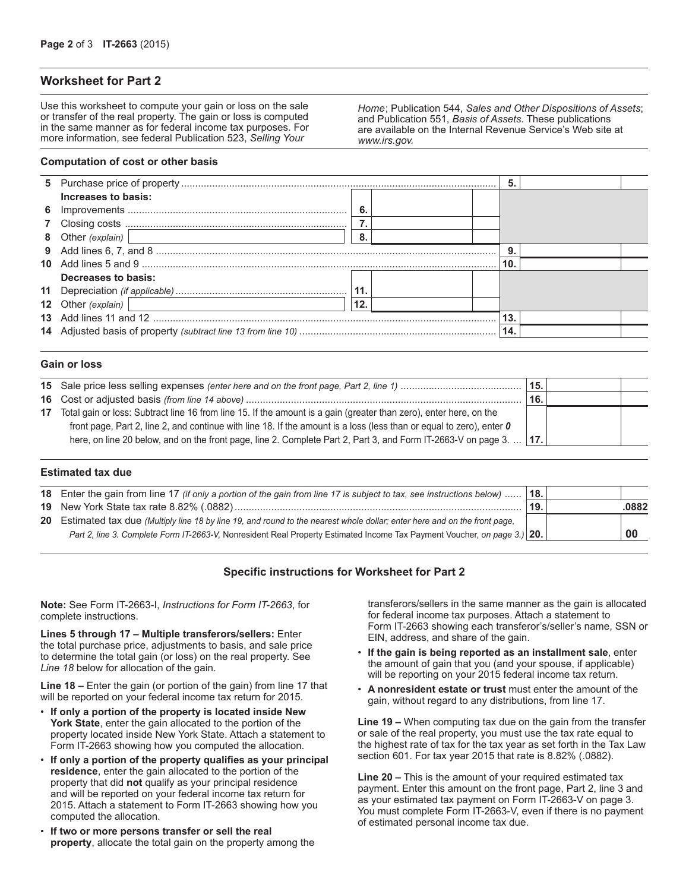### **Worksheet for Part 2**

Use this worksheet to compute your gain or loss on the sale or transfer of the real property. The gain or loss is computed in the same manner as for federal income tax purposes. For more information, see federal Publication 523, *Selling Your* 

*Home*; Publication 544, *Sales and Other Dispositions of Assets*; and Publication 551, *Basis of Assets*. These publications are available on the Internal Revenue Service's Web site at *www.irs.gov.*

#### **Computation of cost or other basis**

|                     |     |     | 5. |  |
|---------------------|-----|-----|----|--|
| Increases to basis: |     |     |    |  |
|                     | -6. |     |    |  |
|                     |     |     |    |  |
|                     | -8. |     |    |  |
|                     |     |     |    |  |
|                     |     | 10. |    |  |
| Decreases to basis: |     |     |    |  |
|                     |     |     |    |  |
| 12 Other (explain)  | 12. |     |    |  |
|                     |     |     |    |  |
|                     |     | 14. |    |  |
|                     |     |     |    |  |

#### **Gain or loss**

|                                                                                                                       | 15. |  |
|-----------------------------------------------------------------------------------------------------------------------|-----|--|
|                                                                                                                       | 16. |  |
| 17 Total gain or loss: Subtract line 16 from line 15. If the amount is a gain (greater than zero), enter here, on the |     |  |
| front page, Part 2, line 2, and continue with line 18. If the amount is a loss (less than or equal to zero), enter 0  |     |  |
| here, on line 20 below, and on the front page, line 2. Complete Part 2, Part 3, and Form IT-2663-V on page 3.   17.   |     |  |
|                                                                                                                       |     |  |

#### **Estimated tax due**

| 18. Enter the gain from line 17 (if only a portion of the gain from line 17 is subject to tax, see instructions below)  18. |                |       |
|-----------------------------------------------------------------------------------------------------------------------------|----------------|-------|
|                                                                                                                             | $^{\circ}$ 19. | .0882 |
| 20 Estimated tax due (Multiply line 18 by line 19, and round to the nearest whole dollar; enter here and on the front page, |                |       |
| Part 2, line 3. Complete Form IT-2663-V, Nonresident Real Property Estimated Income Tax Payment Voucher, on page 3.) 20.    |                | -00   |

### **Specific instructions for Worksheet for Part 2**

**Note:** See Form IT-2663-I, *Instructions for Form IT-2663*, for complete instructions.

**Lines 5 through 17 – Multiple transferors/sellers:** Enter the total purchase price, adjustments to basis, and sale price to determine the total gain (or loss) on the real property. See *Line 18* below for allocation of the gain.

**Line 18 –** Enter the gain (or portion of the gain) from line 17 that will be reported on your federal income tax return for 2015.

- **If only a portion of the property is located inside New York State**, enter the gain allocated to the portion of the property located inside New York State. Attach a statement to Form IT-2663 showing how you computed the allocation.
- **If only a portion of the property qualifies as your principal residence**, enter the gain allocated to the portion of the property that did **not** qualify as your principal residence and will be reported on your federal income tax return for 2015. Attach a statement to Form IT-2663 showing how you computed the allocation.
- **If two or more persons transfer or sell the real property**, allocate the total gain on the property among the

transferors/sellers in the same manner as the gain is allocated for federal income tax purposes. Attach a statement to Form IT-2663 showing each transferor's/seller's name, SSN or EIN, address, and share of the gain.

- **If the gain is being reported as an installment sale**, enter the amount of gain that you (and your spouse, if applicable) will be reporting on your 2015 federal income tax return.
- **A nonresident estate or trust** must enter the amount of the gain, without regard to any distributions, from line 17.

**Line 19 –** When computing tax due on the gain from the transfer or sale of the real property, you must use the tax rate equal to the highest rate of tax for the tax year as set forth in the Tax Law section 601. For tax year 2015 that rate is 8.82% (.0882).

**Line 20 –** This is the amount of your required estimated tax payment. Enter this amount on the front page, Part 2, line 3 and as your estimated tax payment on Form IT-2663-V on page 3. You must complete Form IT‑2663‑V, even if there is no payment of estimated personal income tax due.